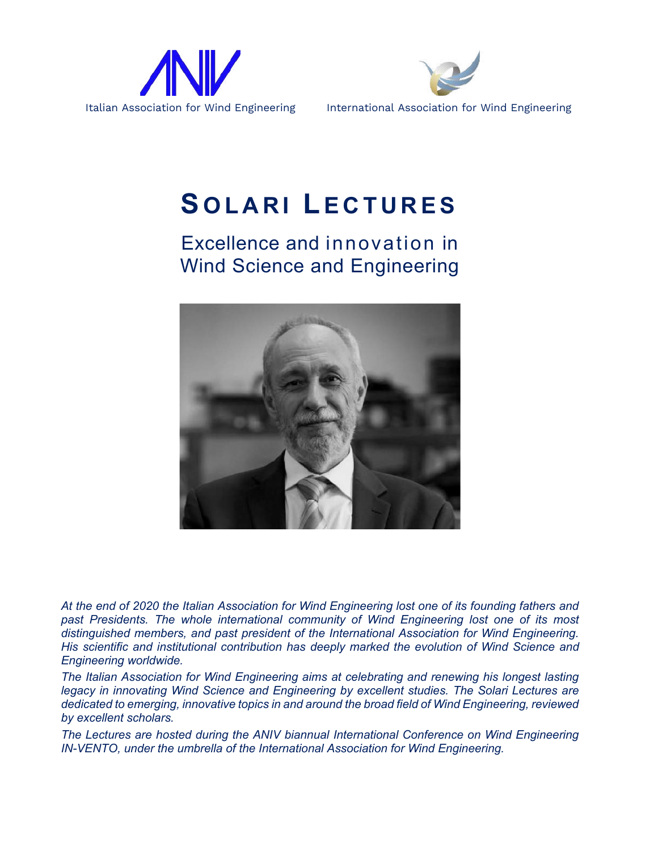



## **S OLARI L ECTURES**

## Excellence and innovation in Wind Science and Engineering



*At the end of 2020 the Italian Association for Wind Engineering lost one of its founding fathers and*  past Presidents. The whole international community of Wind Engineering lost one of its most *distinguished members, and past president of the International Association for Wind Engineering. His scientific and institutional contribution has deeply marked the evolution of Wind Science and Engineering worldwide.*

*The Italian Association for Wind Engineering aims at celebrating and renewing his longest lasting legacy in innovating Wind Science and Engineering by excellent studies. The Solari Lectures are dedicated to emerging, innovative topics in and around the broad field of Wind Engineering, reviewed by excellent scholars.*

*The Lectures are hosted during the ANIV biannual International Conference on Wind Engineering IN-VENTO, under the umbrella of the International Association for Wind Engineering.*